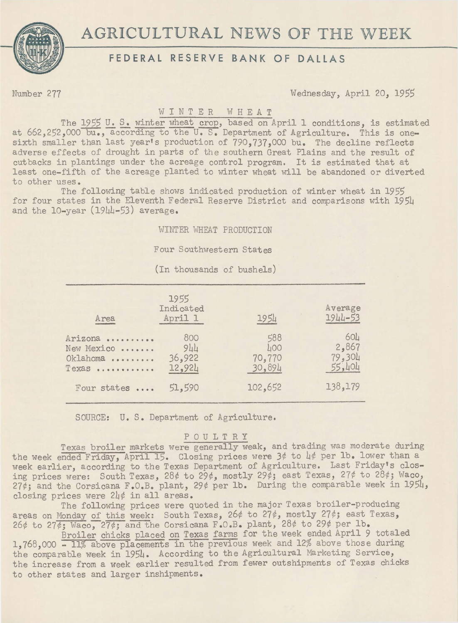

# AGRICULTURAL NEWS OF THE WEEK

## FEDERAL RESERVE BANK OF DALLAS

Number 277 Wednesday, April 20, *1955* 

### WINTER WHEAT

The 1955 U.S. winter wheat crop, based on April 1 conditions, is estimated at 662,252,000 bu., according to the U.S. Department of Agriculture. This is onesixth smaller than last year's production of 790,737,000 bu. The decline reflects adverse effects of drought in parts of the southern Great Plains and the result of cutbacks in plantings under the acreage control program. It is estimated that at least one-fifth of the acreage planted to winter wheat will be abandoned or diverted to other uses.

The following table shows indicated production of winter wheat in 1955 for four states in the Eleventh Federal Reserve District and comparisons with 1954 and the 10-year (1944-53) average.

WINTER WHEAT PRODUCTION

Four Southwestern States

(In thousands of bushels)

| 1955<br>Indicated<br>April 1   | 1954                           | Average<br>1944-53                           |
|--------------------------------|--------------------------------|----------------------------------------------|
| 800<br>944<br>36,922<br>12,924 | 588<br>400<br>70,770<br>30,894 | 60 <sub>u</sub><br>2,867<br>79,304<br>55,404 |
| 51,590                         | 102,652                        | 138,179                                      |
|                                |                                |                                              |

SOURCE: U. S. Department of Agriculture.

#### POULTRY

Texas broiler markets were generally weak, and trading was moderate during the week ended Friday, April 15. Closing prices were  $3¢$  to  $4¢$  per 1b. lower than a week earlier, according to the Texas Department of Agriculture. Last Friday's closing prices were: South Texas, 28¢ to 29¢, mostly 29¢; east Texas, 27¢ to 28¢; Waco,  $27¢$ ; and the Corsicana F.O.B. plant,  $29¢$  per lb. During the comparable week in  $1954$ , closing prices were 24¢ in all areas.

The following prices were quoted in the major Texas broiler-producing areas on Monday of this week: South Texas, 26¢ to 27¢, mostly 27¢; east Texas, 26¢ to 27¢; Waco, 27¢; and the Corsicana F.O.B. plant, 28¢ to 29¢ per lb.

Broiler chicks placed on Texas farms for the week ended April 9 totaled 1,768,000 - 11% above placements in the previous week and 12% above those during the comparable week in 1954. According to the Agricultural Marketing Service, the increase from a week earlier resulted from fewer outshipments of Texas chicks to other states and larger inshipments.